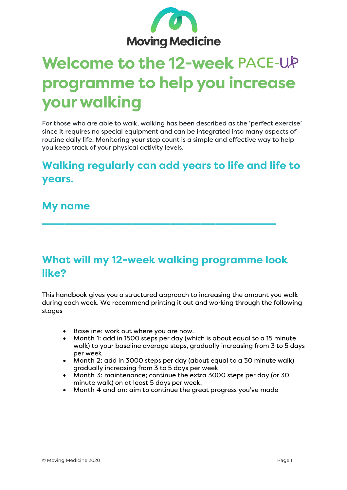

## **Welcome to the 12-week programme to help you increase your walking**

For those who are able to walk, walking has been described as the 'perfect exercise' since it requires no special equipment and can be integrated into many aspects of routine daily life. Monitoring your step count is a simple and effective way to help you keep track of your physical activity levels.

## **Walking regularly can add years to life and life to years.**

#### **My name**

## **What will my 12-week walking programme look like?**

**\_\_\_\_\_\_\_\_\_\_\_\_\_\_\_\_\_\_\_\_\_\_\_\_\_\_\_\_\_\_\_**

This handbook gives you a structured approach to increasing the amount you walk during each week. We recommend printing it out and working through the following stages

- Baseline: work out where you are now.
- Month 1: add in 1500 steps per day (which is about equal to a 15 minute walk) to your baseline average steps, gradually increasing from 3 to 5 days per week
- Month 2: add in 3000 steps per day (about equal to a 30 minute walk) gradually increasing from 3 to 5 days per week
- Month 3: maintenance; continue the extra 3000 steps per day (or 30 minute walk) on at least 5 days per week.
- Month 4 and on: aim to continue the great progress you've made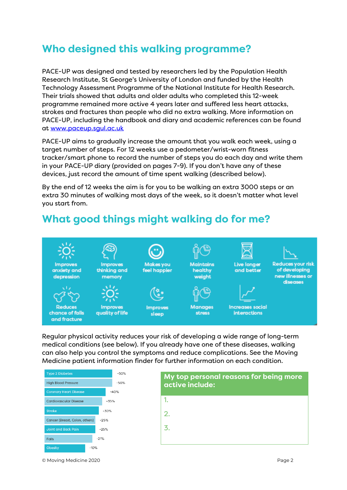## **Who designed this walking programme?**

PACE-UP was designed and tested by researchers led by the Population Health Research Institute, St George's University of London and funded by the Health Technology Assessment Programme of the National Institute for Health Research. Their trials showed that adults and older adults who completed this 12-week programme remained more active 4 years later and suffered less heart attacks, strokes and fractures than people who did no extra walking. More information on PACE-UP, including the handbook and diary and academic references can be found at [www.paceup.sgul.ac.uk](http://www.paceup.sgul.ac.uk/)

PACE-UP aims to gradually increase the amount that you walk each week, using a target number of steps. For 12 weeks use a pedometer/wrist-worn fitness tracker/smart phone to record the number of steps you do each day and write them in your PACE-UP diary (provided on pages 7-9). If you don't have any of these devices, just record the amount of time spent walking (described below).

By the end of 12 weeks the aim is for you to be walking an extra 3000 steps or an extra 30 minutes of walking most days of the week, so it doesn't matter what level you start from.

## **What good things might walking do for me?**



Regular physical activity reduces your risk of developing a wide range of long-term medical conditions (see below). If you already have one of these diseases, walking can also help you control the symptoms and reduce complications. See the Moving Medicine patient information finder for further information on each condition.





© Moving Medicine 2020 Page 2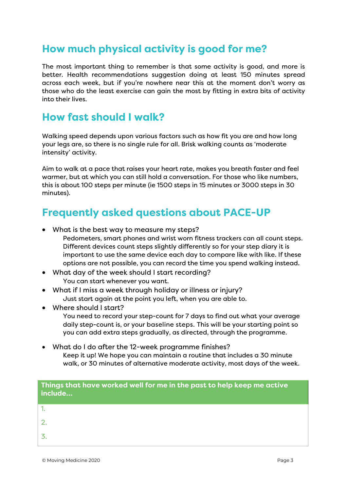## **How much physical activity is good for me?**

The most important thing to remember is that some activity is good, and more is better. Health recommendations suggestion doing at least 150 minutes spread across each week, but if you're nowhere near this at the moment don't worry as those who do the least exercise can gain the most by fitting in extra bits of activity into their lives.

#### **How fast should I walk?**

Walking speed depends upon various factors such as how fit you are and how long your legs are, so there is no single rule for all. Brisk walking counts as 'moderate intensity' activity.

Aim to walk at a pace that raises your heart rate, makes you breath faster and feel warmer, but at which you can still hold a conversation. For those who like numbers, this is about 100 steps per minute (ie 1500 steps in 15 minutes or 3000 steps in 30 minutes).

## **Frequently asked questions about PACE-UP**

- What is the best way to measure my steps?
	- Pedometers, smart phones and wrist worn fitness trackers can all count steps. Different devices count steps slightly differently so for your step diary it is important to use the same device each day to compare like with like. If these options are not possible, you can record the time you spend walking instead.
- What day of the week should I start recording? You can start whenever you want.
- What if I miss a week through holiday or illness or injury? Just start again at the point you left, when you are able to.
- Where should I start?

You need to record your step-count for 7 days to find out what your average daily step-count is, or your baseline steps. This will be your starting point so you can add extra steps gradually, as directed, through the programme.

• What do I do after the 12-week programme finishes? Keep it up! We hope you can maintain a routine that includes a 30 minute walk, or 30 minutes of alternative moderate activity, most days of the week.

| Things that have worked well for me in the past to help keep me active<br>include |  |
|-----------------------------------------------------------------------------------|--|
|                                                                                   |  |
| $\overline{2}$ .                                                                  |  |
| -3.                                                                               |  |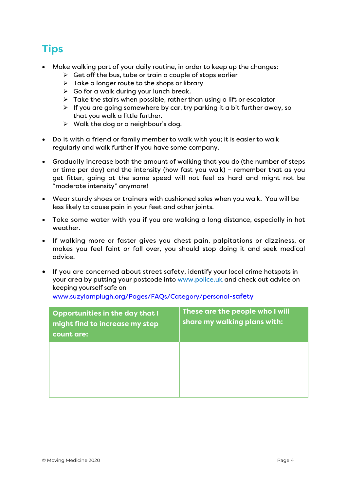## **Tips**

- Make walking part of your daily routine, in order to keep up the changes:
	- $\triangleright$  Get off the bus, tube or train a couple of stops earlier
	- $\triangleright$  Take a longer route to the shops or library
	- $\triangleright$  Go for a walk during your lunch break.
	- $\triangleright$  Take the stairs when possible, rather than using a lift or escalator
	- $\triangleright$  If you are going somewhere by car, try parking it a bit further away, so that you walk a little further.
	- $\triangleright$  Walk the dog or a neighbour's dog.
- Do it with a friend or family member to walk with you; it is easier to walk regularly and walk further if you have some company.
- Gradually increase both the amount of walking that you do (the number of steps or time per day) and the intensity (how fast you walk) – remember that as you get fitter, going at the same speed will not feel as hard and might not be "moderate intensity" anymore!
- Wear sturdy shoes or trainers with cushioned soles when you walk. You will be less likely to cause pain in your feet and other joints.
- Take some water with you if you are walking a long distance, especially in hot weather.
- If walking more or faster gives you chest pain, palpitations or dizziness, or makes you feel faint or fall over, you should stop doing it and seek medical advice.
- If you are concerned about street safety, identify your local crime hotspots in your area by putting your postcode into [www.police.uk](http://www.police.uk/) and check out advice on keeping yourself safe on

[www.suzylamplugh.org/Pages/FAQs/Category/personal-safety](http://www.suzylamplugh.org/Pages/FAQs/Category/personal-safety)

| <b>Opportunities in the day that I</b><br>might find to increase my step<br>count are: | These are the people who I will<br>share my walking plans with: |
|----------------------------------------------------------------------------------------|-----------------------------------------------------------------|
|                                                                                        |                                                                 |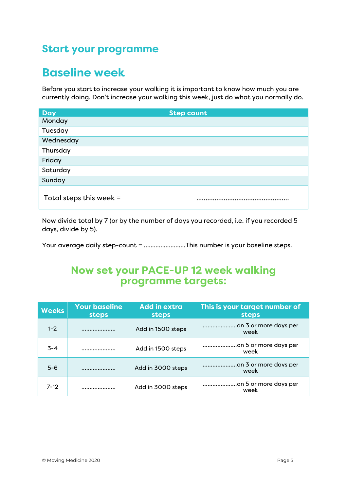## **Start your programme**

## **Baseline week**

Before you start to increase your walking it is important to know how much you are currently doing. Don't increase your walking this week, just do what you normally do.

| <b>Day</b>              | <b>Step count</b> |
|-------------------------|-------------------|
| Monday                  |                   |
| Tuesday                 |                   |
| Wednesday               |                   |
| Thursday                |                   |
| Friday                  |                   |
| Saturday                |                   |
| Sunday                  |                   |
| Total steps this week = |                   |

Now divide total by 7 (or by the number of days you recorded, i.e. if you recorded 5 days, divide by 5).

Your average daily step-count = ...........................This number is your baseline steps.

#### **Now set your PACE-UP 12 week walking programme targets:**

| <b>Weeks</b> | <b>Your baseline</b><br>steps | <b>Add in extra</b><br>steps | This is your target number of<br>steps |
|--------------|-------------------------------|------------------------------|----------------------------------------|
| $1 - 2$      |                               | Add in 1500 steps            | on 3 or more days per<br>week          |
| $3 - 4$      |                               | Add in 1500 steps            | on 5 or more days per<br>week          |
| $5 - 6$      |                               | Add in 3000 steps            | week                                   |
| $7 - 12$     | .                             | Add in 3000 steps            | on 5 or more days per<br>week          |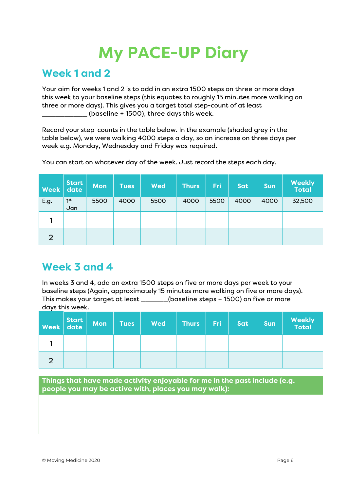# **My PACE-UP Diary**

#### **Week 1 and 2**

Your aim for weeks 1 and 2 is to add in an extra 1500 steps on three or more days this week to your baseline steps (this equates to roughly 15 minutes more walking on three or more days). This gives you a target total step-count of at least \_\_\_\_\_\_\_\_\_\_ (baseline + 1500), three days this week.

Record your step-counts in the table below. In the example (shaded grey in the table below), we were walking 4000 steps a day, so an increase on three days per week e.g. Monday, Wednesday and Friday was required.

| <b>Week</b>    | <b>Start</b><br>date   | <b>Mon</b> | <b>Tues</b> | <b>Wed</b> | <b>Thurs</b> | Fri  | Sat  | <b>Sun</b> | <b>Weekly</b><br><b>Total</b> |
|----------------|------------------------|------------|-------------|------------|--------------|------|------|------------|-------------------------------|
| E.g.           | 1 <sup>st</sup><br>Jan | 5500       | 4000        | 5500       | 4000         | 5500 | 4000 | 4000       | 32,500                        |
|                |                        |            |             |            |              |      |      |            |                               |
| $\overline{2}$ |                        |            |             |            |              |      |      |            |                               |

You can start on whatever day of the week. Just record the steps each day.

## **Week 3 and 4**

In weeks 3 and 4, add an extra 1500 steps on five or more days per week to your baseline steps (Again, approximately 15 minutes more walking on five or more days). This makes your target at least \_\_\_\_\_\_(baseline steps + 1500) on five or more days this week.

| Week date | <b>Mon</b> | <b>Tues</b> | <b>Wed</b> | <b>Thurs</b> | Fri: | Sat | <b>Sun</b> | <b>Weekly</b><br>Total |
|-----------|------------|-------------|------------|--------------|------|-----|------------|------------------------|
|           |            |             |            |              |      |     |            |                        |
|           |            |             |            |              |      |     |            |                        |

**Things that have made activity enjoyable for me in the past include (e.g. people you may be active with, places you may walk):**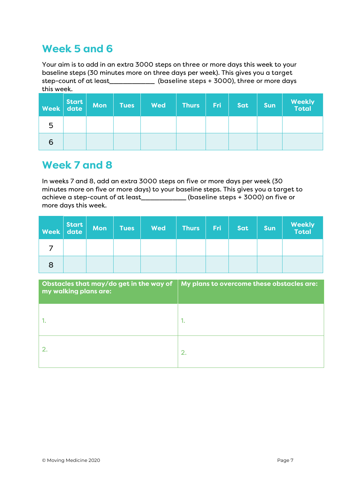## **Week 5 and 6**

Your aim is to add in an extra 3000 steps on three or more days this week to your baseline steps (30 minutes more on three days per week). This gives you a target step-count of at least\_\_\_\_\_\_\_\_\_\_ (baseline steps + 3000), three or more days this week.

| Week | Start<br>date | <b>Mon</b> | <b>Tues</b> | <b>Wed</b> | <b>Thurs</b> | <b>Fri</b> | Sat | <b>Sun</b> | <b>Weekly</b><br>Total |
|------|---------------|------------|-------------|------------|--------------|------------|-----|------------|------------------------|
| 5    |               |            |             |            |              |            |     |            |                        |
| 6    |               |            |             |            |              |            |     |            |                        |

#### **Week 7 and 8**

In weeks 7 and 8, add an extra 3000 steps on five or more days per week (30 minutes more on five or more days) to your baseline steps. This gives you a target to achieve a step-count of at least\_\_\_\_\_\_\_\_\_\_ (baseline steps + 3000) on five or more days this week.

| <b>Week</b> | Start<br>date | <b>Mon</b> | <b>Tues</b> | <b>Wed</b> | <b>Thurs</b> | <b>Fri</b> | Sat | <b>Sun</b> | <b>Weekly</b><br>Total |
|-------------|---------------|------------|-------------|------------|--------------|------------|-----|------------|------------------------|
|             |               |            |             |            |              |            |     |            |                        |
| 8           |               |            |             |            |              |            |     |            |                        |

| my walking plans are: | Obstacles that may/do get in the way of $\parallel$ My plans to overcome these obstacles are: |
|-----------------------|-----------------------------------------------------------------------------------------------|
|                       | ٠.                                                                                            |
|                       | 2.                                                                                            |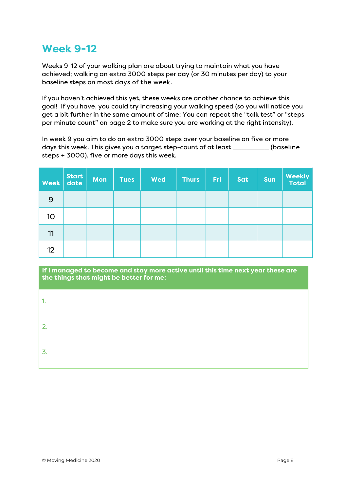## **Week 9-12**

Weeks 9-12 of your walking plan are about trying to maintain what you have achieved; walking an extra 3000 steps per day (or 30 minutes per day) to your baseline steps on most days of the week.

If you haven't achieved this yet, these weeks are another chance to achieve this goal! If you have, you could try increasing your walking speed (so you will notice you get a bit further in the same amount of time: You can repeat the "talk test" or "steps per minute count" on page 2 to make sure you are working at the right intensity).

In week 9 you aim to do an extra 3000 steps over your baseline on five or more days this week. This gives you a target step-count of at least \_\_\_\_\_\_\_\_ (baseline steps + 3000), five or more days this week.

| <b>Week</b> | <b>Start</b><br>date | Mon | <b>Tues</b> | <b>Wed</b> | Thurs | Fri | Sat | <b>Sun</b> | <b>Weekly</b><br>Total |
|-------------|----------------------|-----|-------------|------------|-------|-----|-----|------------|------------------------|
| 9           |                      |     |             |            |       |     |     |            |                        |
| 10          |                      |     |             |            |       |     |     |            |                        |
| 11          |                      |     |             |            |       |     |     |            |                        |
| 12          |                      |     |             |            |       |     |     |            |                        |

**If I managed to become and stay more active until this time next year these are the things that might be better for me:**

| . . |  |
|-----|--|
| 2.  |  |
| 3   |  |